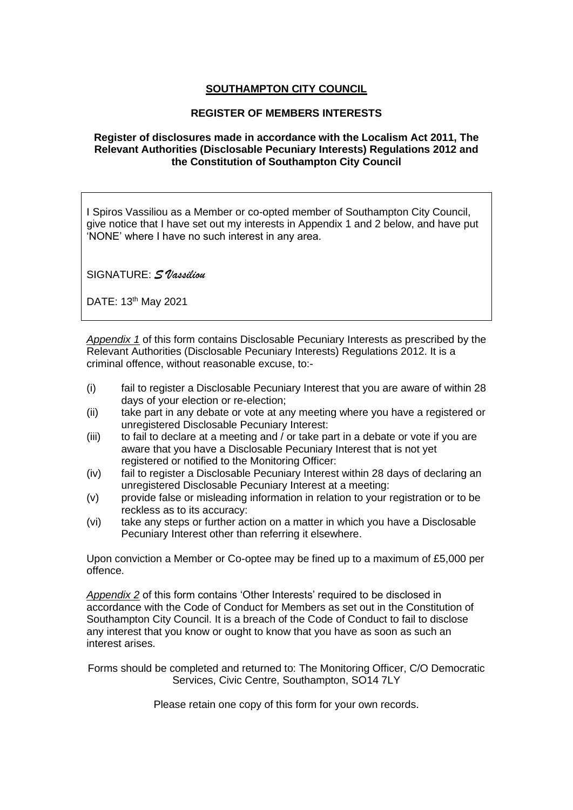## **SOUTHAMPTON CITY COUNCIL**

### **REGISTER OF MEMBERS INTERESTS**

#### **Register of disclosures made in accordance with the Localism Act 2011, The Relevant Authorities (Disclosable Pecuniary Interests) Regulations 2012 and the Constitution of Southampton City Council**

I Spiros Vassiliou as a Member or co-opted member of Southampton City Council, give notice that I have set out my interests in Appendix 1 and 2 below, and have put 'NONE' where I have no such interest in any area.

SIGNATURE: *S Vassiliou*

DATE: 13th May 2021

*Appendix 1* of this form contains Disclosable Pecuniary Interests as prescribed by the Relevant Authorities (Disclosable Pecuniary Interests) Regulations 2012. It is a criminal offence, without reasonable excuse, to:-

- (i) fail to register a Disclosable Pecuniary Interest that you are aware of within 28 days of your election or re-election;
- (ii) take part in any debate or vote at any meeting where you have a registered or unregistered Disclosable Pecuniary Interest:
- (iii) to fail to declare at a meeting and  $\overline{\prime}$  or take part in a debate or vote if you are aware that you have a Disclosable Pecuniary Interest that is not yet registered or notified to the Monitoring Officer:
- (iv) fail to register a Disclosable Pecuniary Interest within 28 days of declaring an unregistered Disclosable Pecuniary Interest at a meeting:
- (v) provide false or misleading information in relation to your registration or to be reckless as to its accuracy:
- (vi) take any steps or further action on a matter in which you have a Disclosable Pecuniary Interest other than referring it elsewhere.

Upon conviction a Member or Co-optee may be fined up to a maximum of £5,000 per offence.

*Appendix 2* of this form contains 'Other Interests' required to be disclosed in accordance with the Code of Conduct for Members as set out in the Constitution of Southampton City Council. It is a breach of the Code of Conduct to fail to disclose any interest that you know or ought to know that you have as soon as such an interest arises.

Forms should be completed and returned to: The Monitoring Officer, C/O Democratic Services, Civic Centre, Southampton, SO14 7LY

Please retain one copy of this form for your own records.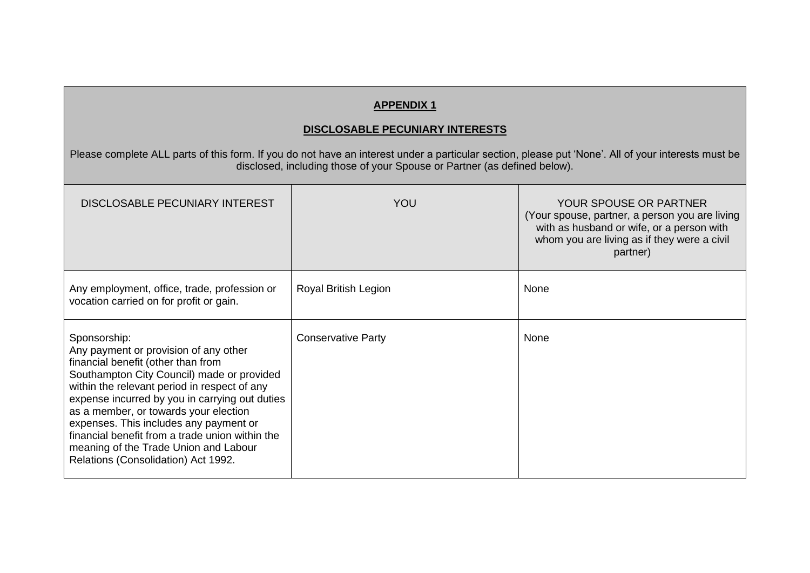## **APPENDIX 1**

#### **DISCLOSABLE PECUNIARY INTERESTS**

Please complete ALL parts of this form. If you do not have an interest under a particular section, please put 'None'. All of your interests must be disclosed, including those of your Spouse or Partner (as defined below).

| DISCLOSABLE PECUNIARY INTEREST                                                                                                                                                                                                                                                                                                                                                                                                                                    | YOU                       | <b>YOUR SPOUSE OR PARTNER</b><br>(Your spouse, partner, a person you are living<br>with as husband or wife, or a person with<br>whom you are living as if they were a civil<br>partner) |
|-------------------------------------------------------------------------------------------------------------------------------------------------------------------------------------------------------------------------------------------------------------------------------------------------------------------------------------------------------------------------------------------------------------------------------------------------------------------|---------------------------|-----------------------------------------------------------------------------------------------------------------------------------------------------------------------------------------|
| Any employment, office, trade, profession or<br>vocation carried on for profit or gain.                                                                                                                                                                                                                                                                                                                                                                           | Royal British Legion      | None                                                                                                                                                                                    |
| Sponsorship:<br>Any payment or provision of any other<br>financial benefit (other than from<br>Southampton City Council) made or provided<br>within the relevant period in respect of any<br>expense incurred by you in carrying out duties<br>as a member, or towards your election<br>expenses. This includes any payment or<br>financial benefit from a trade union within the<br>meaning of the Trade Union and Labour<br>Relations (Consolidation) Act 1992. | <b>Conservative Party</b> | None                                                                                                                                                                                    |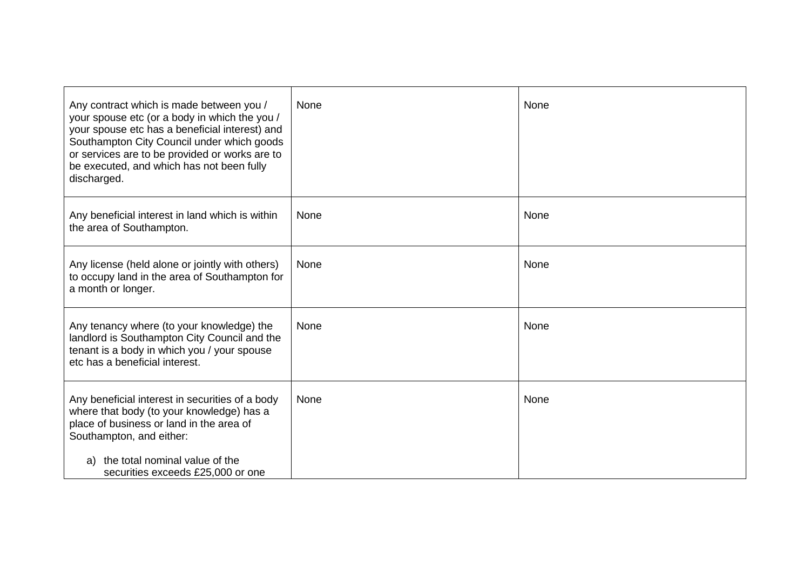| Any contract which is made between you /<br>your spouse etc (or a body in which the you /<br>your spouse etc has a beneficial interest) and<br>Southampton City Council under which goods<br>or services are to be provided or works are to<br>be executed, and which has not been fully<br>discharged. | None | None |
|---------------------------------------------------------------------------------------------------------------------------------------------------------------------------------------------------------------------------------------------------------------------------------------------------------|------|------|
| Any beneficial interest in land which is within<br>the area of Southampton.                                                                                                                                                                                                                             | None | None |
| Any license (held alone or jointly with others)<br>to occupy land in the area of Southampton for<br>a month or longer.                                                                                                                                                                                  | None | None |
| Any tenancy where (to your knowledge) the<br>landlord is Southampton City Council and the<br>tenant is a body in which you / your spouse<br>etc has a beneficial interest.                                                                                                                              | None | None |
| Any beneficial interest in securities of a body<br>where that body (to your knowledge) has a<br>place of business or land in the area of<br>Southampton, and either:<br>the total nominal value of the<br>a)<br>securities exceeds £25,000 or one                                                       | None | None |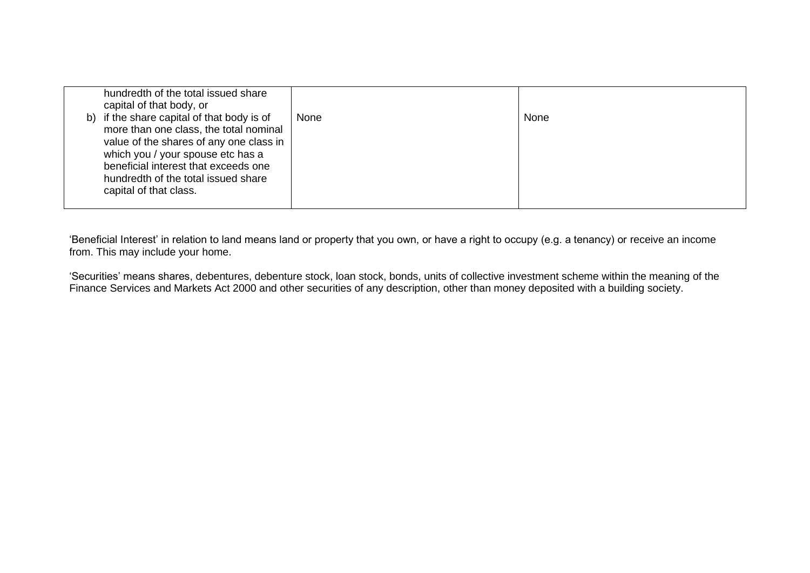| hundredth of the total issued share<br>capital of that body, or<br>b) if the share capital of that body is of<br>more than one class, the total nominal<br>value of the shares of any one class in<br>which you / your spouse etc has a<br>beneficial interest that exceeds one<br>hundredth of the total issued share<br>capital of that class. | None | None |
|--------------------------------------------------------------------------------------------------------------------------------------------------------------------------------------------------------------------------------------------------------------------------------------------------------------------------------------------------|------|------|
|                                                                                                                                                                                                                                                                                                                                                  |      |      |

'Beneficial Interest' in relation to land means land or property that you own, or have a right to occupy (e.g. a tenancy) or receive an income from. This may include your home.

'Securities' means shares, debentures, debenture stock, loan stock, bonds, units of collective investment scheme within the meaning of the Finance Services and Markets Act 2000 and other securities of any description, other than money deposited with a building society.